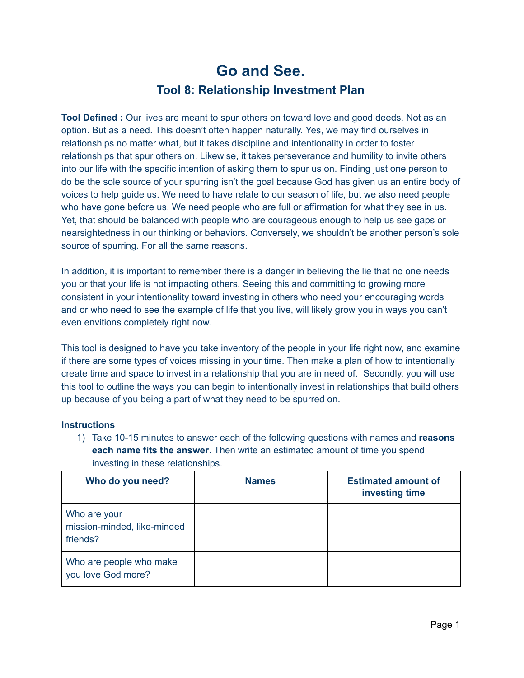## **Go and See. Tool 8: Relationship Investment Plan**

**Tool Defined :** Our lives are meant to spur others on toward love and good deeds. Not as an option. But as a need. This doesn't often happen naturally. Yes, we may find ourselves in relationships no matter what, but it takes discipline and intentionality in order to foster relationships that spur others on. Likewise, it takes perseverance and humility to invite others into our life with the specific intention of asking them to spur us on. Finding just one person to do be the sole source of your spurring isn't the goal because God has given us an entire body of voices to help guide us. We need to have relate to our season of life, but we also need people who have gone before us. We need people who are full or affirmation for what they see in us. Yet, that should be balanced with people who are courageous enough to help us see gaps or nearsightedness in our thinking or behaviors. Conversely, we shouldn't be another person's sole source of spurring. For all the same reasons.

In addition, it is important to remember there is a danger in believing the lie that no one needs you or that your life is not impacting others. Seeing this and committing to growing more consistent in your intentionality toward investing in others who need your encouraging words and or who need to see the example of life that you live, will likely grow you in ways you can't even envitions completely right now.

This tool is designed to have you take inventory of the people in your life right now, and examine if there are some types of voices missing in your time. Then make a plan of how to intentionally create time and space to invest in a relationship that you are in need of. Secondly, you will use this tool to outline the ways you can begin to intentionally invest in relationships that build others up because of you being a part of what they need to be spurred on.

## **Instructions**

1) Take 10-15 minutes to answer each of the following questions with names and **reasons each name fits the answer**. Then write an estimated amount of time you spend investing in these relationships.

| Who do you need?                                        | <b>Names</b> | <b>Estimated amount of</b><br>investing time |
|---------------------------------------------------------|--------------|----------------------------------------------|
| Who are your<br>mission-minded, like-minded<br>friends? |              |                                              |
| Who are people who make<br>you love God more?           |              |                                              |